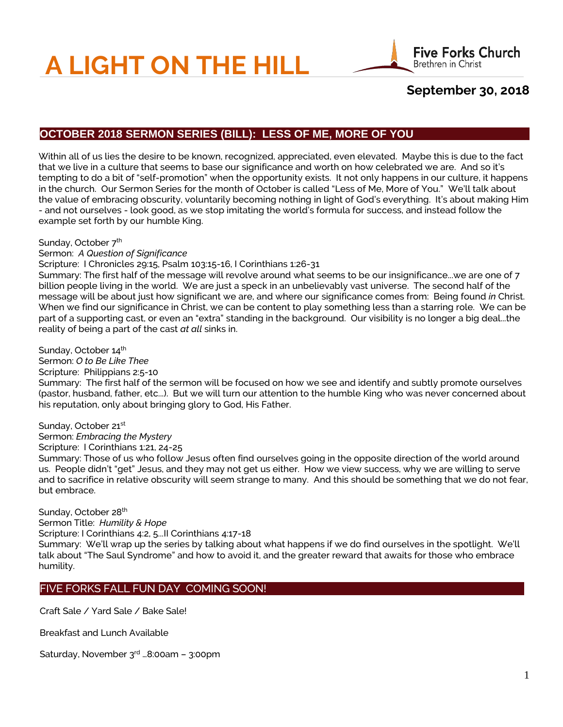# **A LIGHT ON THE HILL**



# **September 30, 2018**

# **OCTOBER 2018 SERMON SERIES (BILL): LESS OF ME, MORE OF YOU**

Within all of us lies the desire to be known, recognized, appreciated, even elevated. Maybe this is due to the fact that we live in a culture that seems to base our significance and worth on how celebrated we are. And so it's tempting to do a bit of "self-promotion" when the opportunity exists. It not only happens in our culture, it happens in the church. Our Sermon Series for the month of October is called "Less of Me, More of You." We'll talk about the value of embracing obscurity, voluntarily becoming nothing in light of God's everything. It's about making Him - and not ourselves - look good, as we stop imitating the world's formula for success, and instead follow the example set forth by our humble King.

#### Sunday, October 7<sup>th</sup>

#### Sermon: *A Question of Significance*

#### Scripture: I Chronicles 29:15, Psalm 103:15-16, I Corinthians 1:26-31

Summary: The first half of the message will revolve around what seems to be our insignificance...we are one of 7 billion people living in the world. We are just a speck in an unbelievably vast universe. The second half of the message will be about just how significant we are, and where our significance comes from: Being found *in* Christ. When we find our significance in Christ, we can be content to play something less than a starring role. We can be part of a supporting cast, or even an "extra" standing in the background. Our visibility is no longer a big deal...the reality of being a part of the cast *at all* sinks in.

#### Sunday, October 14<sup>th</sup>

Sermon: *O to Be Like Thee* Scripture: Philippians 2:5-10 Summary: The first half of the sermon will be focused on how we see and identify and subtly promote ourselves (pastor, husband, father, etc...). But we will turn our attention to the humble King who was never concerned about his reputation, only about bringing glory to God, His Father.

## Sunday, October 21st

Sermon: *Embracing the Mystery*

## Scripture: I Corinthians 1:21, 24-25

Summary: Those of us who follow Jesus often find ourselves going in the opposite direction of the world around us. People didn't "get" Jesus, and they may not get us either. How we view success, why we are willing to serve and to sacrifice in relative obscurity will seem strange to many. And this should be something that we do not fear, but embrace.

# Sunday, October 28<sup>th</sup>

Sermon Title: *Humility & Hope*

Scripture: I Corinthians 4:2, 5...II Corinthians 4:17-18 Summary: We'll wrap up the series by talking about what happens if we do find ourselves in the spotlight. We'll talk about "The Saul Syndrome" and how to avoid it, and the greater reward that awaits for those who embrace

#### humility.

## FIVE FORKS FALL FUN DAY COMING SOON!

Craft Sale / Yard Sale / Bake Sale!

Breakfast and Lunch Available

Saturday, November 3rd …8:00am – 3:00pm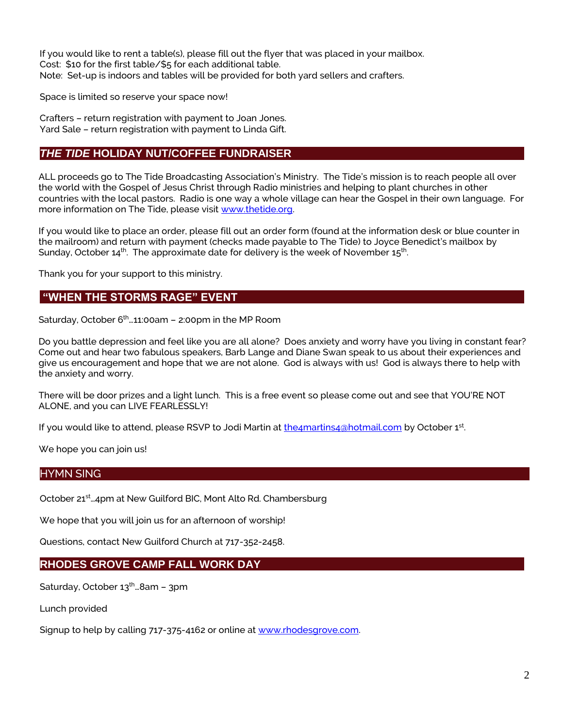If you would like to rent a table(s), please fill out the flyer that was placed in your mailbox. Cost: \$10 for the first table/\$5 for each additional table. Note: Set-up is indoors and tables will be provided for both yard sellers and crafters.

Space is limited so reserve your space now!

Crafters – return registration with payment to Joan Jones. Yard Sale – return registration with payment to Linda Gift.

# *THE TIDE* **HOLIDAY NUT/COFFEE FUNDRAISER**

ALL proceeds go to The Tide Broadcasting Association's Ministry. The Tide's mission is to reach people all over the world with the Gospel of Jesus Christ through Radio ministries and helping to plant churches in other countries with the local pastors. Radio is one way a whole village can hear the Gospel in their own language. For more information on The Tide, please visit [www.thetide.org.](http://www.thetide.org/)

If you would like to place an order, please fill out an order form (found at the information desk or blue counter in the mailroom) and return with payment (checks made payable to The Tide) to Joyce Benedict's mailbox by Sunday, October 14 $^{\rm th}$ . The approximate date for delivery is the week of November 15 $^{\rm th}$ .

Thank you for your support to this ministry.

## **"WHEN THE STORMS RAGE" EVENT**

Saturday, October  $6<sup>th</sup>$  11:00am – 2:00pm in the MP Room

Do you battle depression and feel like you are all alone? Does anxiety and worry have you living in constant fear? Come out and hear two fabulous speakers, Barb Lange and Diane Swan speak to us about their experiences and give us encouragement and hope that we are not alone. God is always with us! God is always there to help with the anxiety and worry.

There will be door prizes and a light lunch. This is a free event so please come out and see that YOU'RE NOT ALONE, and you can LIVE FEARLESSLY!

If you would like to attend, please RSVP to Jodi Martin at **the4martins4@hotmail.com** by October 1st.

We hope you can join us!

## HYMN SING

October 21st…4pm at New Guilford BIC, Mont Alto Rd. Chambersburg

We hope that you will join us for an afternoon of worship!

Questions, contact New Guilford Church at 717-352-2458.

## **RHODES GROVE CAMP FALL WORK DAY**

Saturday, October  $13<sup>th</sup>$  ... 8am – 3pm

Lunch provided

Signup to help by calling 717-375-4162 or online at [www.rhodesgrove.com.](http://www.rhodesgrove.com/)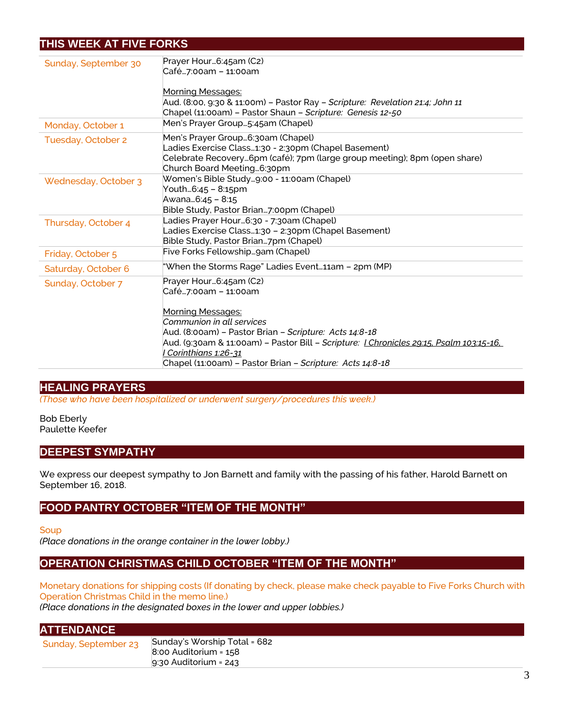# **THIS WEEK AT FIVE FORKS**

| Sunday, September 30 | Prayer Hour6:45am (C2)<br>Café7:00am – 11:00am                                                                                                                                                       |
|----------------------|------------------------------------------------------------------------------------------------------------------------------------------------------------------------------------------------------|
|                      | <u>Morning Messages:</u><br>Aud. (8:00, 9:30 & 11:00m) - Pastor Ray - Scripture: Revelation 21:4; John 11<br>Chapel (11:00am) - Pastor Shaun - Scripture: Genesis 12-50                              |
| Monday, October 1    | Men's Prayer Group5:45am (Chapel)                                                                                                                                                                    |
| Tuesday, October 2   | Men's Prayer Group6:30am (Chapel)<br>Ladies Exercise Class1:30 - 2:30pm (Chapel Basement)<br>Celebrate Recovery6pm (café); 7pm (large group meeting); 8pm (open share)<br>Church Board Meeting6:30pm |
| Wednesday, October 3 | Women's Bible Study9:00 - 11:00am (Chapel)<br>Youth6:45 - 8:15pm<br>Awana6:45 - 8:15<br>Bible Study, Pastor Brian7:00pm (Chapel)                                                                     |
| Thursday, October 4  | Ladies Prayer Hour6:30 - 7:30am (Chapel)<br>Ladies Exercise Class1:30 - 2:30pm (Chapel Basement)<br>Bible Study, Pastor Brian7pm (Chapel)                                                            |
| Friday, October 5    | Five Forks Fellowshipgam (Chapel)                                                                                                                                                                    |
| Saturday, October 6  | "When the Storms Rage" Ladies Event11am - 2pm (MP)                                                                                                                                                   |
| Sunday, October 7    | Prayer Hour6:45am (C2)<br>Café7:00am – 11:00am<br><b>Morning Messages:</b><br>Communion in all services<br>Aud. (8:00am) - Pastor Brian - Scripture: Acts 14:8-18                                    |
|                      | Aud. (9:30am & 11:00am) - Pastor Bill - Scripture: <u>I Chronicles 29:15, Psalm 103:15-16,</u><br>I Corinthians 1:26-31<br>Chapel (11:00am) - Pastor Brian - Scripture: Acts 14:8-18                 |

# **HEALING PRAYERS**

*(Those who have been hospitalized or underwent surgery/procedures this week.)*

Bob Eberly Paulette Keefer

## **DEEPEST SYMPATHY**

We express our deepest sympathy to Jon Barnett and family with the passing of his father, Harold Barnett on September 16, 2018.

## **FOOD PANTRY OCTOBER "ITEM OF THE MONTH"**

**Soup** 

*(Place donations in the orange container in the lower lobby.)*

## **OPERATION CHRISTMAS CHILD OCTOBER "ITEM OF THE MONTH"**

Monetary donations for shipping costs (If donating by check, please make check payable to Five Forks Church with Operation Christmas Child in the memo line.)

*(Place donations in the designated boxes in the lower and upper lobbies.)*

9:30 Auditorium = 243

| <b>ATTENDANCE</b>    |                              |
|----------------------|------------------------------|
| Sunday, September 23 | Sunday's Worship Total = 682 |
|                      | 8:00 Auditorium = 158        |